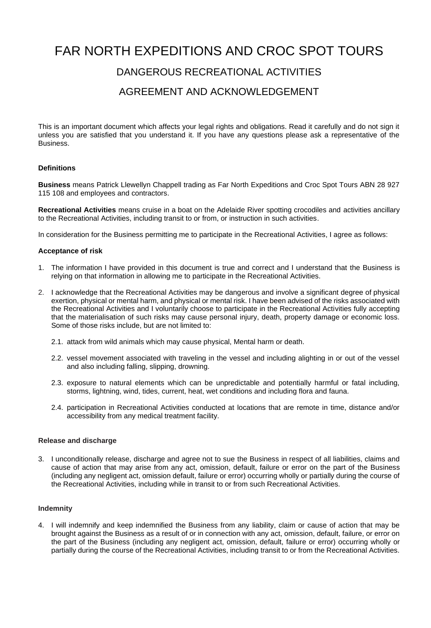# FAR NORTH EXPEDITIONS AND CROC SPOT TOURS

## DANGEROUS RECREATIONAL ACTIVITIES

### AGREEMENT AND ACKNOWLEDGEMENT

This is an important document which affects your legal rights and obligations. Read it carefully and do not sign it unless you are satisfied that you understand it. If you have any questions please ask a representative of the Business.

#### **Definitions**

**Business** means Patrick Llewellyn Chappell trading as Far North Expeditions and Croc Spot Tours ABN 28 927 115 108 and employees and contractors.

**Recreational Activities** means cruise in a boat on the Adelaide River spotting crocodiles and activities ancillary to the Recreational Activities, including transit to or from, or instruction in such activities.

In consideration for the Business permitting me to participate in the Recreational Activities, I agree as follows:

#### **Acceptance of risk**

- 1. The information I have provided in this document is true and correct and I understand that the Business is relying on that information in allowing me to participate in the Recreational Activities.
- 2. I acknowledge that the Recreational Activities may be dangerous and involve a significant degree of physical exertion, physical or mental harm, and physical or mental risk. I have been advised of the risks associated with the Recreational Activities and I voluntarily choose to participate in the Recreational Activities fully accepting that the materialisation of such risks may cause personal injury, death, property damage or economic loss. Some of those risks include, but are not limited to:
	- 2.1. attack from wild animals which may cause physical, Mental harm or death.
	- 2.2. vessel movement associated with traveling in the vessel and including alighting in or out of the vessel and also including falling, slipping, drowning.
	- 2.3. exposure to natural elements which can be unpredictable and potentially harmful or fatal including, storms, lightning, wind, tides, current, heat, wet conditions and including flora and fauna.
	- 2.4. participation in Recreational Activities conducted at locations that are remote in time, distance and/or accessibility from any medical treatment facility.

#### **Release and discharge**

3. I unconditionally release, discharge and agree not to sue the Business in respect of all liabilities, claims and cause of action that may arise from any act, omission, default, failure or error on the part of the Business (including any negligent act, omission default, failure or error) occurring wholly or partially during the course of the Recreational Activities, including while in transit to or from such Recreational Activities.

#### **Indemnity**

4. I will indemnify and keep indemnified the Business from any liability, claim or cause of action that may be brought against the Business as a result of or in connection with any act, omission, default, failure, or error on the part of the Business (including any negligent act, omission, default, failure or error) occurring wholly or partially during the course of the Recreational Activities, including transit to or from the Recreational Activities.